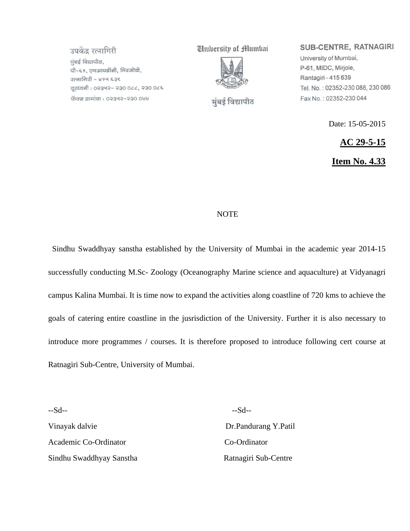उपकेंद्र रत्नागिरी मुंबई विद्यापीठ, पी-६१, एमआयडीसी, मिरजोळे, रत्नागिरी - ४१५ ६३९ दुरध्वनी : ०२३५२- २३० ०८८, २३० ०८६ फॅक्स क्रमांक : ०२३५२-२३० ०४४

**University of Humbai** 



मुंबई विद्यापीठ

SUB-CENTRE, RATNAGIRI

University of Mumbai, P-61, MIDC, Mirjole, Rantagiri - 415 639 Tel. No.: 02352-230 088, 230 086 Fax No.: 02352-230 044

Date: 15-05-2015

**AC 29-5-15**

**Item No. 4.33**

#### **NOTE**

 Sindhu Swaddhyay sanstha established by the University of Mumbai in the academic year 2014-15 successfully conducting M.Sc- Zoology (Oceanography Marine science and aquaculture) at Vidyanagri campus Kalina Mumbai. It is time now to expand the activities along coastline of 720 kms to achieve the goals of catering entire coastline in the jusrisdiction of the University. Further it is also necessary to introduce more programmes / courses. It is therefore proposed to introduce following cert course at Ratnagiri Sub-Centre, University of Mumbai.

--Sd-- --Sd-- Vinayak dalvie Dr.Pandurang Y.Patil Academic Co-Ordinator Co-Ordinator Sindhu Swaddhyay Sanstha Ratnagiri Sub-Centre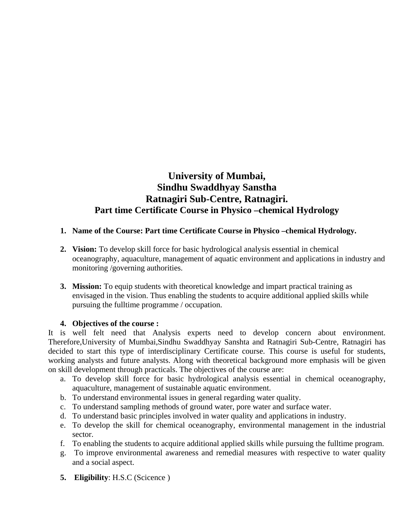# **University of Mumbai, Sindhu Swaddhyay Sanstha Ratnagiri Sub-Centre, Ratnagiri. Part time Certificate Course in Physico –chemical Hydrology**

### **1. Name of the Course: Part time Certificate Course in Physico –chemical Hydrology.**

- **2. Vision:** To develop skill force for basic hydrological analysis essential in chemical oceanography, aquaculture, management of aquatic environment and applications in industry and monitoring /governing authorities.
- **3. Mission:** To equip students with theoretical knowledge and impart practical training as envisaged in the vision. Thus enabling the students to acquire additional applied skills while pursuing the fulltime programme / occupation.

#### **4. Objectives of the course :**

It is well felt need that Analysis experts need to develop concern about environment. Therefore,University of Mumbai,Sindhu Swaddhyay Sanshta and Ratnagiri Sub-Centre, Ratnagiri has decided to start this type of interdisciplinary Certificate course. This course is useful for students, working analysts and future analysts. Along with theoretical background more emphasis will be given on skill development through practicals. The objectives of the course are:

- a. To develop skill force for basic hydrological analysis essential in chemical oceanography, aquaculture, management of sustainable aquatic environment.
- b. To understand environmental issues in general regarding water quality.
- c. To understand sampling methods of ground water, pore water and surface water.
- d. To understand basic principles involved in water quality and applications in industry.
- e. To develop the skill for chemical oceanography, environmental management in the industrial sector.
- f. To enabling the students to acquire additional applied skills while pursuing the fulltime program.
- g. To improve environmental awareness and remedial measures with respective to water quality and a social aspect.
- **5. Eligibility**: H.S.C (Scicence )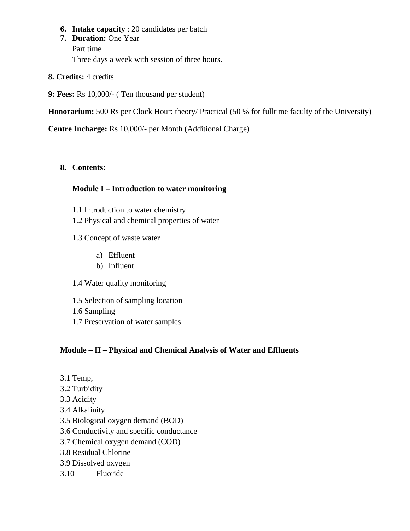- **6. Intake capacity** : 20 candidates per batch
- **7. Duration:** One Year Part time Three days a week with session of three hours.
- **8. Credits:** 4 credits
- **9: Fees:** Rs 10,000/- ( Ten thousand per student)

**Honorarium:** 500 Rs per Clock Hour: theory/ Practical (50 % for fulltime faculty of the University)

**Centre Incharge:** Rs 10,000/- per Month (Additional Charge)

## **8. Contents:**

## **Module I – Introduction to water monitoring**

- 1.1 Introduction to water chemistry
- 1.2 Physical and chemical properties of water
- 1.3 Concept of waste water
	- a) Effluent
	- b) Influent
- 1.4 Water quality monitoring
- 1.5 Selection of sampling location
- 1.6 Sampling
- 1.7 Preservation of water samples

# **Module – II – Physical and Chemical Analysis of Water and Effluents**

- 3.1 Temp,
- 3.2 Turbidity
- 3.3 Acidity
- 3.4 Alkalinity
- 3.5 Biological oxygen demand (BOD)
- 3.6 Conductivity and specific conductance
- 3.7 Chemical oxygen demand (COD)
- 3.8 Residual Chlorine
- 3.9 Dissolved oxygen
- 3.10 Fluoride